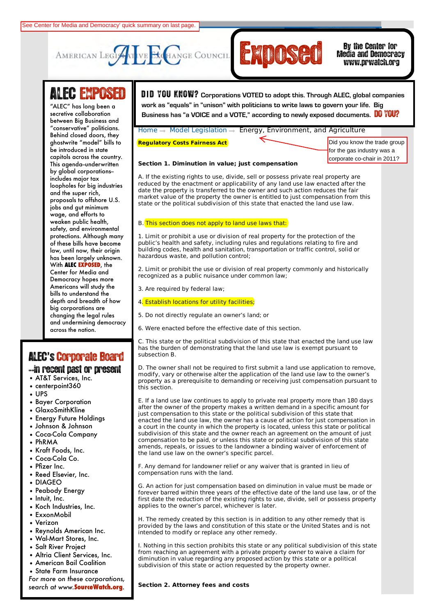



# Media and Democracy www.prwatch.org

# ALEC EXPOSED

between Big Business and "conservative" politicians.<br>Behind closed doors, they **Civil Justice** ghostwrite "model" bills to capitols across the country. **and Economic** This agenda--underwritten by global corporations-**Education** loopholes for big industries and the super rich*,* **and Agriculture** proposals to offshore U.S. **Federal Relations** wage, and efforts to safety, and environmental protections. Although many of these bills have become **Public Safety and** has been largely unknown. **With ALEC EXPOSED**, the Democracy hopes more **Telecommunications** bills to understand the **and Information** depth and breadth of how **Technology** big corporations are and undermining democracy across the nation. "ALEC" has long been a secretive collaboration Behind closed doors, they be introduced in state includes major tax jobs and gut minimum weaken public health, law, until now, their origin Center for Media and Americans will study the changing the legal rules

# ALEC**'**s'Corporate Board

- --in recent past or present
- AT&T Services, Inc.
- centerpoint360
- UPS
- Bayer Corporation
- GlaxoSmithKline
- Energy Future Holdings
- Johnson & Johnson
- Coca-Cola Company
- PhRMA
- Kraft Foods, Inc.
- Coca-Cola Co.
- Pfizer Inc.
- Reed Elsevier, Inc.
- DIAGEO
- Peabody Energy
- Intuit, Inc.
- Koch Industries, Inc.
- ExxonMobil
- Verizon
- Reynolds American Inc.
- Wal-Mart Stores, Inc.
- Salt River Project
- Altria Client Services, Inc.
- American Bail Coalition
- State Farm Insurance

*For more on these corporations, search at www.***SourceWatch.org**.

Search GO **LOGIN** | **LOGOUT** | **HOME** | **JOIN ALEC** | **CONTACT** D **I** D YOU KNOW? **Corporations VOTED to adopt this. Through ALEC, global companies**  ALEC INITIATIVE MODEL IN THE MEMBERS ARE SUBLICATION TABLES INTO A VIOLE AND TO SUPPORT THE MANUSCATION TABLES PU<br>Business has "a VOICE and a VOTE," according to newly exposed documents. **DO YOU? work as "equals" in "unison" with politicians to write laws to govern your life. Big** 

Home  $\rightarrow$  Model Legislation  $\rightarrow$  Energy, Environment, and Agriculture

#### **Regulatory Costs Fairness Act**

Did you know the trade group for the gas industry was a corporate co-chair in 2011?

#### **Section 1. Diminution in value; just compensation**

A. If the existing rights to use, divide, sell or possess private real property are reduced by the enactment or applicability of any land use law enacted after the date the property is transferred to the owner and such action reduces the fair market value of the property the owner is entitled to just compensation from this state or the political subdivision of this state that enacted the land use law.

### B. This section does not apply to land use laws that:

1. Limit or prohibit a use or division of real property for the protection of the public's health and safety, including rules and regulations relating to fire and building codes, health and sanitation, transportation or traffic control, solid or hazardous waste, and pollution control;

2. Limit or prohibit the use or division of real property commonly and historically recognized as a public nuisance under common law;

3. Are required by federal law;

## 4. Establish locations for utility facilities;

- 5. Do not directly regulate an owner's land; or
- 6. Were enacted before the effective date of this section.

C. This state or the political subdivision of this state that enacted the land use law has the burden of demonstrating that the land use law is exempt pursuant to subsection B.

D. The owner shall not be required to first submit a land use application to remove, modify, vary or otherwise alter the application of the land use law to the owner's property as a prerequisite to demanding or receiving just compensation pursuant to this section.

E. If a land use law continues to apply to private real property more than 180 days after the owner of the property makes a written demand in a specific amount for just compensation to this state or the political subdivision of this state that enacted the land use law, the owner has a cause of action for just compensation in a court in the county in which the property is located, unless this state or political subdivision of this state and the owner reach an agreement on the amount of just compensation to be paid, or unless this state or political subdivision of this state amends, repeals, or issues to the landowner a binding waiver of enforcement of the land use law on the owner's specific parcel.

F. Any demand for landowner relief or any waiver that is granted in lieu of compensation runs with the land.

G. An action for just compensation based on diminution in value must be made or forever barred within three years of the effective date of the land use law, or of the first date the reduction of the existing rights to use, divide, sell or possess property applies to the owner's parcel, whichever is later.

H. The remedy created by this section is in addition to any other remedy that is provided by the laws and constitution of this state or the United States and is not intended to modify or replace any other remedy.

I. Nothing in this section prohibits this state or any political subdivision of this state from reaching an agreement with a private property owner to waive a claim for diminution in value regarding any proposed action by this state or a political subdivision of this state or action requested by the property owner.

#### **Section 2. Attorney fees and costs**